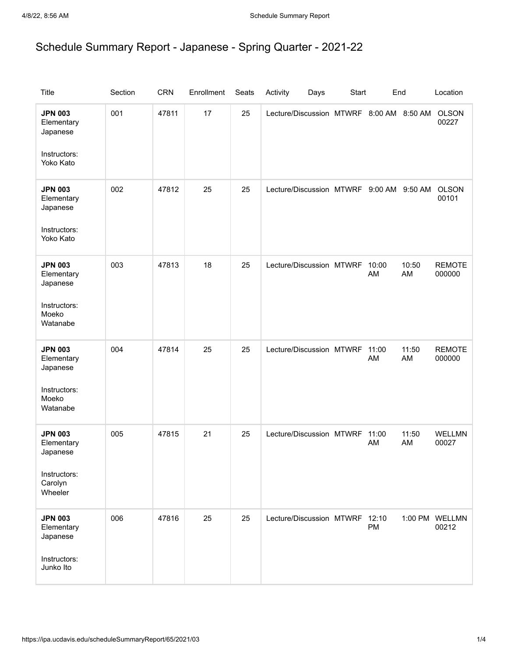## Schedule Summary Report - Japanese - Spring Quarter - 2021-22

| <b>Title</b>                                                                   | Section | <b>CRN</b> | Enrollment | Seats | Activity<br>Days                         | Start |             | End         | Location                |
|--------------------------------------------------------------------------------|---------|------------|------------|-------|------------------------------------------|-------|-------------|-------------|-------------------------|
| <b>JPN 003</b><br>Elementary<br>Japanese<br>Instructors:<br>Yoko Kato          | 001     | 47811      | 17         | 25    | Lecture/Discussion MTWRF 8:00 AM 8:50 AM |       |             |             | <b>OLSON</b><br>00227   |
| <b>JPN 003</b><br>Elementary<br>Japanese<br>Instructors:<br>Yoko Kato          | 002     | 47812      | 25         | 25    | Lecture/Discussion MTWRF 9:00 AM 9:50 AM |       |             |             | <b>OLSON</b><br>00101   |
| <b>JPN 003</b><br>Elementary<br>Japanese<br>Instructors:<br>Moeko<br>Watanabe  | 003     | 47813      | 18         | 25    | Lecture/Discussion MTWRF 10:00           |       | AM          | 10:50<br>AM | <b>REMOTE</b><br>000000 |
| <b>JPN 003</b><br>Elementary<br>Japanese<br>Instructors:<br>Moeko<br>Watanabe  | 004     | 47814      | 25         | 25    | Lecture/Discussion MTWRF 11:00           |       | AM          | 11:50<br>AM | <b>REMOTE</b><br>000000 |
| <b>JPN 003</b><br>Elementary<br>Japanese<br>Instructors:<br>Carolyn<br>Wheeler | 005     | 47815      | 21         | 25    | Lecture/Discussion MTWRF                 |       | 11:00<br>AM | 11:50<br>AM | <b>WELLMN</b><br>00027  |
| <b>JPN 003</b><br>Elementary<br>Japanese<br>Instructors:<br>Junko Ito          | 006     | 47816      | 25         | 25    | Lecture/Discussion MTWRF 12:10           |       | PM          |             | 1:00 PM WELLMN<br>00212 |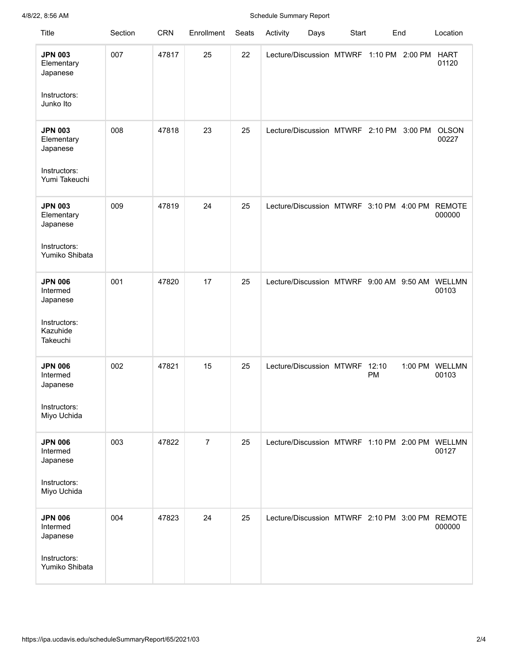## 4/8/22, 8:56 AM Schedule Summary Report

| <b>Title</b>                                                                   | Section | <b>CRN</b> | Enrollment     | Seats | Activity                                 | Days | Start |           | End     | Location                                                  |
|--------------------------------------------------------------------------------|---------|------------|----------------|-------|------------------------------------------|------|-------|-----------|---------|-----------------------------------------------------------|
| <b>JPN 003</b><br>Elementary<br>Japanese<br>Instructors:<br>Junko Ito          | 007     | 47817      | 25             | 22    | Lecture/Discussion MTWRF 1:10 PM 2:00 PM |      |       |           |         | <b>HART</b><br>01120                                      |
| <b>JPN 003</b><br>Elementary<br>Japanese<br>Instructors:<br>Yumi Takeuchi      | 008     | 47818      | 23             | 25    | Lecture/Discussion MTWRF 2:10 PM 3:00 PM |      |       |           |         | <b>OLSON</b><br>00227                                     |
| <b>JPN 003</b><br>Elementary<br>Japanese<br>Instructors:<br>Yumiko Shibata     | 009     | 47819      | 24             | 25    | Lecture/Discussion MTWRF 3:10 PM 4:00 PM |      |       |           |         | <b>REMOTE</b><br>000000                                   |
| <b>JPN 006</b><br>Intermed<br>Japanese<br>Instructors:<br>Kazuhide<br>Takeuchi | 001     | 47820      | 17             | 25    | Lecture/Discussion MTWRF 9:00 AM 9:50 AM |      |       |           |         | WELLMN<br>00103                                           |
| <b>JPN 006</b><br>Intermed<br>Japanese<br>Instructors:<br>Miyo Uchida          | 002     | 47821      | 15             | 25    | Lecture/Discussion MTWRF 12:10           |      |       | <b>PM</b> | 1:00 PM | <b>WELLMN</b><br>00103                                    |
| <b>JPN 006</b><br>Intermed<br>Japanese<br>Instructors:<br>Miyo Uchida          | 003     | 47822      | $\overline{7}$ | 25    |                                          |      |       |           |         | Lecture/Discussion MTWRF 1:10 PM 2:00 PM WELLMN<br>00127  |
| <b>JPN 006</b><br>Intermed<br>Japanese<br>Instructors:<br>Yumiko Shibata       | 004     | 47823      | 24             | 25    |                                          |      |       |           |         | Lecture/Discussion MTWRF 2:10 PM 3:00 PM REMOTE<br>000000 |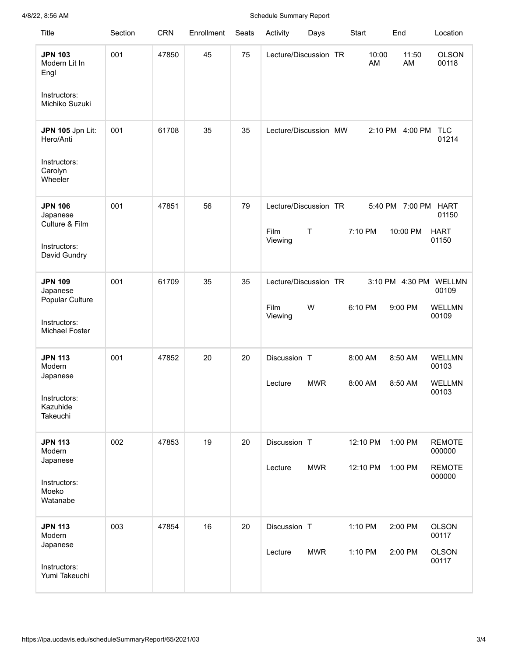## 4/8/22, 8:56 AM Schedule Summary Report

| Title                                                                           | Section | <b>CRN</b> | Enrollment | Seats | Activity                                 | Days        | Start                | End                         | Location                                                  |
|---------------------------------------------------------------------------------|---------|------------|------------|-------|------------------------------------------|-------------|----------------------|-----------------------------|-----------------------------------------------------------|
| <b>JPN 103</b><br>Modern Lit In<br>Engl<br>Instructors:<br>Michiko Suzuki       | 001     | 47850      | 45         | 75    | Lecture/Discussion TR                    |             | 10:00<br>AM          | 11:50<br>AM                 | <b>OLSON</b><br>00118                                     |
| JPN 105 Jpn Lit:<br>Hero/Anti<br>Instructors:<br>Carolyn<br>Wheeler             | 001     | 61708      | 35         | 35    | Lecture/Discussion MW                    |             |                      | 2:10 PM 4:00 PM             | <b>TLC</b><br>01214                                       |
| <b>JPN 106</b><br>Japanese<br>Culture & Film<br>Instructors:<br>David Gundry    | 001     | 47851      | 56         | 79    | Lecture/Discussion TR<br>Film<br>Viewing | $\mathsf T$ | 7:10 PM              | 5:40 PM 7:00 PM<br>10:00 PM | <b>HART</b><br>01150<br><b>HART</b><br>01150              |
| <b>JPN 109</b><br>Japanese<br>Popular Culture<br>Instructors:<br>Michael Foster | 001     | 61709      | 35         | 35    | Lecture/Discussion TR<br>Film<br>Viewing | W           | 6:10 PM              | 9:00 PM                     | 3:10 PM 4:30 PM WELLMN<br>00109<br><b>WELLMN</b><br>00109 |
| <b>JPN 113</b><br>Modern<br>Japanese<br>Instructors:<br>Kazuhide<br>Takeuchi    | 001     | 47852      | 20         | 20    | Discussion T<br>Lecture                  | <b>MWR</b>  | 8:00 AM<br>8:00 AM   | 8:50 AM<br>8:50 AM          | <b>WELLMN</b><br>00103<br><b>WELLMN</b><br>00103          |
| <b>JPN 113</b><br>Modern<br>Japanese<br>Instructors:<br>Moeko<br>Watanabe       | 002     | 47853      | 19         | 20    | Discussion T<br>Lecture                  | <b>MWR</b>  | 12:10 PM<br>12:10 PM | 1:00 PM<br>1:00 PM          | <b>REMOTE</b><br>000000<br><b>REMOTE</b><br>000000        |
| <b>JPN 113</b><br>Modern<br>Japanese<br>Instructors:<br>Yumi Takeuchi           | 003     | 47854      | 16         | 20    | Discussion T<br>Lecture                  | <b>MWR</b>  | 1:10 PM<br>1:10 PM   | 2:00 PM<br>2:00 PM          | <b>OLSON</b><br>00117<br><b>OLSON</b><br>00117            |